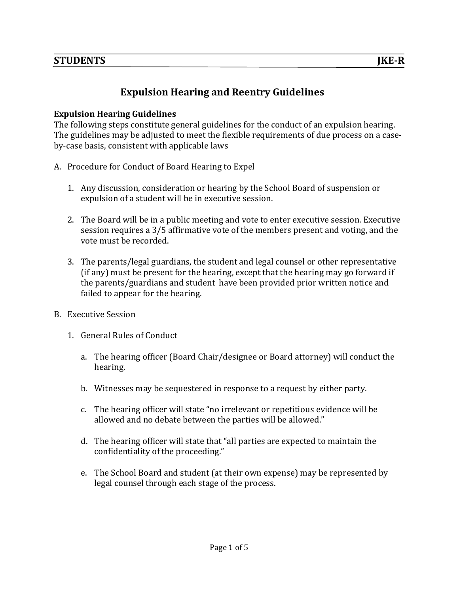# **Expulsion Hearing and Reentry Guidelines**

#### **Expulsion Hearing Guidelines**

The following steps constitute general guidelines for the conduct of an expulsion hearing. The guidelines may be adjusted to meet the flexible requirements of due process on a caseby-case basis, consistent with applicable laws

- A. Procedure for Conduct of Board Hearing to Expel
	- 1. Any discussion, consideration or hearing by the School Board of suspension or expulsion of a student will be in executive session.
	- 2. The Board will be in a public meeting and vote to enter executive session. Executive session requires a 3/5 affirmative vote of the members present and voting, and the vote must be recorded.
	- 3. The parents/legal guardians, the student and legal counsel or other representative (if any) must be present for the hearing, except that the hearing may go forward if the parents/guardians and student have been provided prior written notice and failed to appear for the hearing.
- B. Executive Session
	- 1. General Rules of Conduct
		- a. The hearing officer (Board Chair/designee or Board attorney) will conduct the hearing.
		- b. Witnesses may be sequestered in response to a request by either party.
		- c. The hearing officer will state "no irrelevant or repetitious evidence will be allowed and no debate between the parties will be allowed."
		- d. The hearing officer will state that "all parties are expected to maintain the confidentiality of the proceeding."
		- e. The School Board and student (at their own expense) may be represented by legal counsel through each stage of the process.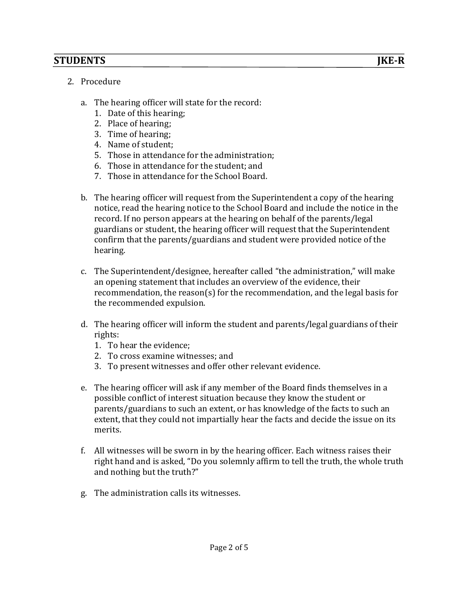- 2. Procedure
	- a. The hearing officer will state for the record:
		- 1. Date of this hearing;
		- 2. Place of hearing;
		- 3. Time of hearing:
		- 4. Name of student;
		- 5. Those in attendance for the administration;
		- 6. Those in attendance for the student: and
		- 7. Those in attendance for the School Board.
	- b. The hearing officer will request from the Superintendent a copy of the hearing notice, read the hearing notice to the School Board and include the notice in the record. If no person appears at the hearing on behalf of the parents/legal guardians or student, the hearing officer will request that the Superintendent confirm that the parents/guardians and student were provided notice of the hearing.
	- c. The Superintendent/designee, hereafter called "the administration," will make an opening statement that includes an overview of the evidence, their recommendation, the reason(s) for the recommendation, and the legal basis for the recommended expulsion.
	- d. The hearing officer will inform the student and parents/legal guardians of their rights:
		- 1. To hear the evidence:
		- 2. To cross examine witnesses: and
		- 3. To present witnesses and offer other relevant evidence.
	- e. The hearing officer will ask if any member of the Board finds themselves in a possible conflict of interest situation because they know the student or parents/guardians to such an extent, or has knowledge of the facts to such an extent, that they could not impartially hear the facts and decide the issue on its merits.
	- f. All witnesses will be sworn in by the hearing officer. Each witness raises their right hand and is asked, "Do you solemnly affirm to tell the truth, the whole truth and nothing but the truth?"
	- g. The administration calls its witnesses.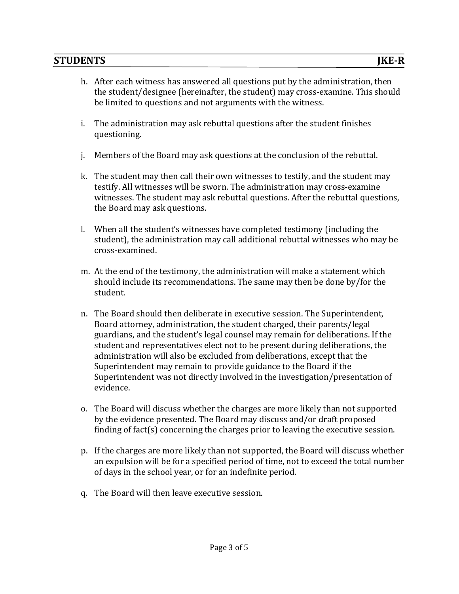- h. After each witness has answered all questions put by the administration, then the student/designee (hereinafter, the student) may cross-examine. This should be limited to questions and not arguments with the witness.
- i. The administration may ask rebuttal questions after the student finishes questioning.
- j. Members of the Board may ask questions at the conclusion of the rebuttal.
- k. The student may then call their own witnesses to testify, and the student may testify. All witnesses will be sworn. The administration may cross-examine witnesses. The student may ask rebuttal questions. After the rebuttal questions, the Board may ask questions.
- l. When all the student's witnesses have completed testimony (including the student), the administration may call additional rebuttal witnesses who may be cross-examined.
- m. At the end of the testimony, the administration will make a statement which should include its recommendations. The same may then be done by/for the student.
- n. The Board should then deliberate in executive session. The Superintendent, Board attorney, administration, the student charged, their parents/legal guardians, and the student's legal counsel may remain for deliberations. If the student and representatives elect not to be present during deliberations, the administration will also be excluded from deliberations, except that the Superintendent may remain to provide guidance to the Board if the Superintendent was not directly involved in the investigation/presentation of evidence.
- o. The Board will discuss whether the charges are more likely than not supported by the evidence presented. The Board may discuss and/or draft proposed finding of fact(s) concerning the charges prior to leaving the executive session.
- p. If the charges are more likely than not supported, the Board will discuss whether an expulsion will be for a specified period of time, not to exceed the total number of days in the school year, or for an indefinite period.
- q. The Board will then leave executive session.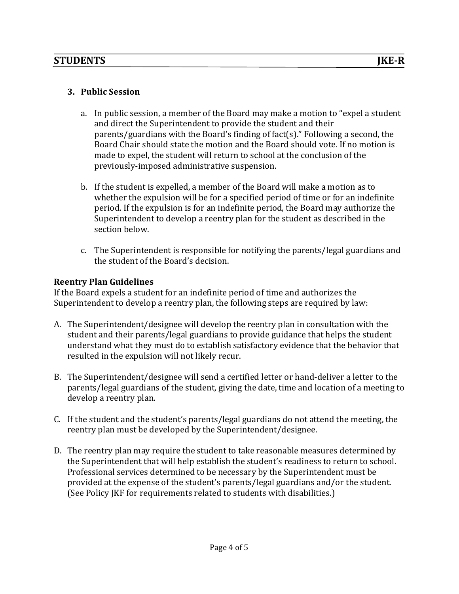## **3. Public Session**

- a. In public session, a member of the Board may make a motion to "expel a student" and direct the Superintendent to provide the student and their parents/guardians with the Board's finding of fact(s)." Following a second, the Board Chair should state the motion and the Board should vote. If no motion is made to expel, the student will return to school at the conclusion of the previously-imposed administrative suspension.
- b. If the student is expelled, a member of the Board will make a motion as to whether the expulsion will be for a specified period of time or for an indefinite period. If the expulsion is for an indefinite period, the Board may authorize the Superintendent to develop a reentry plan for the student as described in the section below.
- c. The Superintendent is responsible for notifying the parents/legal guardians and the student of the Board's decision.

### **Reentry Plan Guidelines**

If the Board expels a student for an indefinite period of time and authorizes the Superintendent to develop a reentry plan, the following steps are required by law:

- A. The Superintendent/designee will develop the reentry plan in consultation with the student and their parents/legal guardians to provide guidance that helps the student understand what they must do to establish satisfactory evidence that the behavior that resulted in the expulsion will not likely recur.
- B. The Superintendent/designee will send a certified letter or hand-deliver a letter to the parents/legal guardians of the student, giving the date, time and location of a meeting to develop a reentry plan.
- C. If the student and the student's parents/legal guardians do not attend the meeting, the reentry plan must be developed by the Superintendent/designee.
- D. The reentry plan may require the student to take reasonable measures determined by the Superintendent that will help establish the student's readiness to return to school. Professional services determined to be necessary by the Superintendent must be provided at the expense of the student's parents/legal guardians and/or the student. (See Policy JKF for requirements related to students with disabilities.)